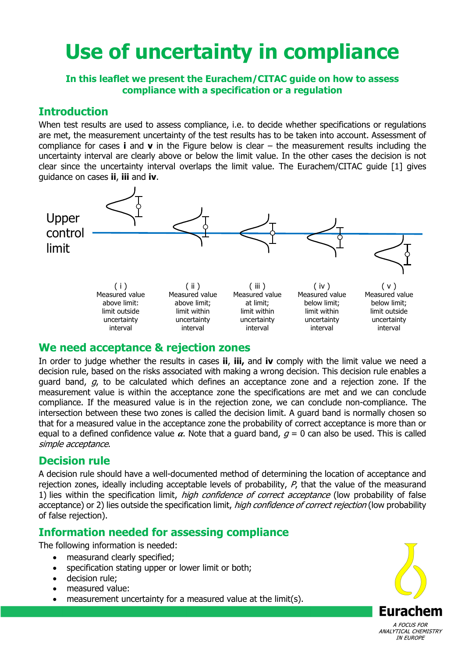# **Use of uncertainty in compliance**

#### **In this leaflet we present the Eurachem/CITAC guide on how to assess compliance with a specification or a regulation**

## **Introduction**

When test results are used to assess compliance, i.e. to decide whether specifications or regulations are met, the measurement uncertainty of the test results has to be taken into account. Assessment of compliance for cases **i** and **v** in the Figure below is clear – the measurement results including the uncertainty interval are clearly above or below the limit value. In the other cases the decision is not clear since the uncertainty interval overlaps the limit value. The Eurachem/CITAC guide [1] gives guidance on cases **ii**, **iii** and **iv**.



## **We need acceptance & rejection zones**

In order to judge whether the results in cases **ii**, **iii,** and **iv** comply with the limit value we need a decision rule, based on the risks associated with making a wrong decision. This decision rule enables a guard band,  $q$ , to be calculated which defines an acceptance zone and a rejection zone. If the measurement value is within the acceptance zone the specifications are met and we can conclude compliance. If the measured value is in the rejection zone, we can conclude non-compliance. The intersection between these two zones is called the decision limit. A guard band is normally chosen so that for a measured value in the acceptance zone the probability of correct acceptance is more than or equal to a defined confidence value  $\alpha$ . Note that a guard band,  $g = 0$  can also be used. This is called simple acceptance.

# **Decision rule**

A decision rule should have a well-documented method of determining the location of acceptance and rejection zones, ideally including acceptable levels of probability,  $P$ , that the value of the measurand 1) lies within the specification limit, *high confidence of correct acceptance* (low probability of false acceptance) or 2) lies outside the specification limit, *high confidence of correct rejection* (low probability of false rejection).

# **Information needed for assessing compliance**

The following information is needed:

- measurand clearly specified;
- specification stating upper or lower limit or both;
- decision rule;
- measured value:
- measurement uncertainty for a measured value at the limit(s).